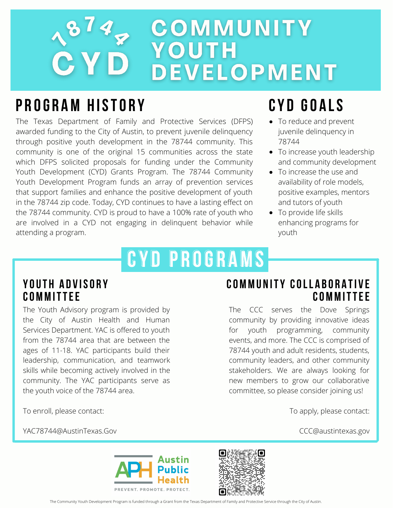### 1874 COMMUNITY YOUTH **DEVELOPMENT**

### **P R OG R AM H ISTO R Y**

The Texas Department of Family and Protective Services (DFPS) awarded funding to the City of Austin, to prevent juvenile delinquency through positive youth development in the 78744 community. This community is one of the original 15 communities across the state which DFPS solicited proposals for funding under the Community Youth Development (CYD) Grants Program. The 78744 Community Youth Development Program funds an array of prevention services that support families and enhance the positive development of youth in the 78744 zip code. Today, CYD continues to have a lasting effect on the 78744 community. CYD is proud to have a 100% rate of youth who are involved in a CYD not engaging in delinquent behavior while attending a program.

# **CY D P R OG R AMS**

#### **YOUT H A D V ISO R Y COMMITTEE**

The Youth Advisory program is provided by the City of Austin Health and Human Services Department. YAC is offered to youth from the 78744 area that are between the ages of 11-18. YAC participants build their leadership, communication, and teamwork skills while becoming actively involved in the community. The YAC participants serve as the youth voice of the 78744 area.

#### **COMMU N ITY COLL A B O R A TI V E COMMITTEE**

The CCC serves the Dove Springs community by providing innovative ideas for youth programming, community events, and more. The CCC is comprised of 78744 youth and adult residents, students, community leaders, and other community stakeholders. We are always looking for new members to grow our collaborative committee, so please consider joining us!

To enroll, please contact:

YAC78744@AustinTexas.Gov

To apply, please contact:

CCC@austintexas.gov





The Community Youth Development Program is funded through a Grant from the Texas Department of Family and Protective Service through the City of Austin.

## **CY D GO A LS**

- To reduce and prevent juvenile delinquency in 78744
- To increase youth leadership and community development
- To increase the use and availability of role models, positive examples, mentors and tutors of youth
- To provide life skills enhancing programs for youth